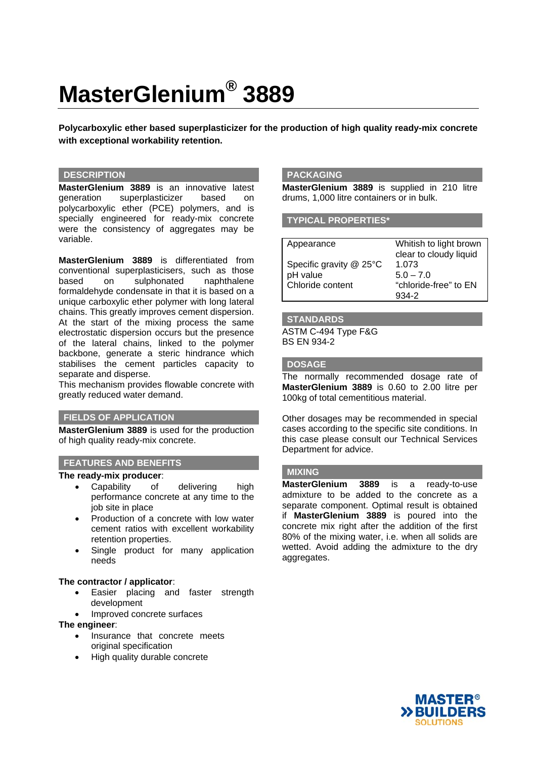# **MasterGlenium® 3889**

**Polycarboxylic ether based superplasticizer for the production of high quality ready-mix concrete with exceptional workability retention.** 

#### **DESCRIPTION**

**MasterGlenium 3889** is an innovative latest generation superplasticizer based on polycarboxylic ether (PCE) polymers, and is specially engineered for ready-mix concrete were the consistency of aggregates may be variable.

**MasterGlenium 3889** is differentiated from conventional superplasticisers, such as those based on sulphonated naphthalene formaldehyde condensate in that it is based on a unique carboxylic ether polymer with long lateral chains. This greatly improves cement dispersion. At the start of the mixing process the same electrostatic dispersion occurs but the presence of the lateral chains, linked to the polymer backbone, generate a steric hindrance which stabilises the cement particles capacity to separate and disperse.

This mechanism provides flowable concrete with greatly reduced water demand.

### **FIELDS OF APPLICATION**

**MasterGlenium 3889** is used for the production of high quality ready-mix concrete.

#### **FEATURES AND BENEFITS**

#### **The ready-mix producer**:

- Capability of delivering high performance concrete at any time to the job site in place
- Production of a concrete with low water cement ratios with excellent workability retention properties.
- Single product for many application needs

#### **The contractor / applicator**:

- Easier placing and faster strength development
- Improved concrete surfaces

#### **The engineer**:

- Insurance that concrete meets original specification
- High quality durable concrete

#### **PACKAGING**

**MasterGlenium 3889** is supplied in 210 litre drums, 1,000 litre containers or in bulk.

#### **TYPICAL PROPERTIES\***

| Appearance                   | Whitish to light brown |
|------------------------------|------------------------|
|                              | clear to cloudy liquid |
| Specific gravity $@$ 25 $°C$ | 1.073                  |
| pH value                     | $5.0 - 7.0$            |
| Chloride content             | "chloride-free" to EN  |
|                              | $934-2$                |

#### **STANDARDS**

ASTM C-494 Type F&G BS EN 934-2

#### **DOSAGE**

The normally recommended dosage rate of **MasterGlenium 3889** is 0.60 to 2.00 litre per 100kg of total cementitious material.

Other dosages may be recommended in special cases according to the specific site conditions. In this case please consult our Technical Services Department for advice.

#### **MIXING**

**MasterGlenium 3889** is a ready-to-use admixture to be added to the concrete as a separate component. Optimal result is obtained if **MasterGlenium 3889** is poured into the concrete mix right after the addition of the first 80% of the mixing water, i.e. when all solids are wetted. Avoid adding the admixture to the dry aggregates.